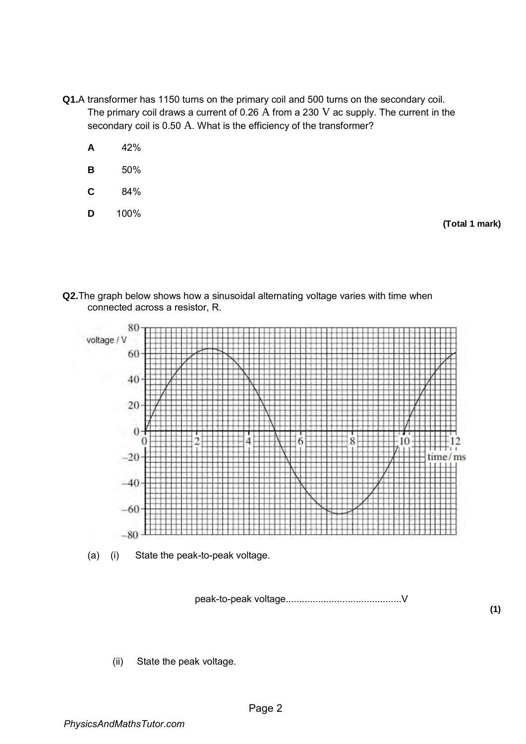- **Q1.**A transformer has 1150 turns on the primary coil and 500 turns on the secondary coil. The primary coil draws a current of 0.26 A from a 230 V ac supply. The current in the secondary coil is 0.50 A. What is the efficiency of the transformer?
	- **A** 42%
	- **B** 50%
	- **C** 84%
	- **D** 100%

**(Total 1 mark)** 

**Q2.**The graph below shows how a sinusoidal alternating voltage varies with time when connected across a resistor, R.



(a) (i) State the peak-to-peak voltage.

peak-to-peak voltage...........................................V

**(1)** 

(ii) State the peak voltage.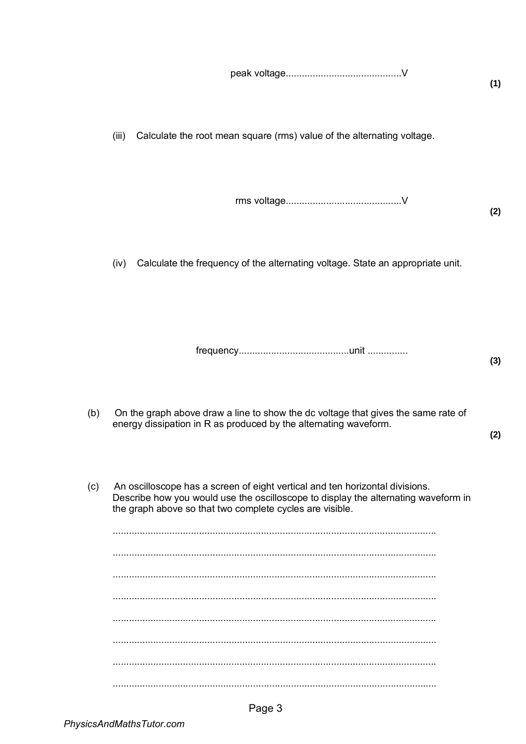|--|--|

(iii) Calculate the root mean square (rms) value of the alternating voltage.

rms voltage...........................................V

(iv) Calculate the frequency of the alternating voltage. State an appropriate unit.

frequency.........................................unit ...............

(b) On the graph above draw a line to show the dc voltage that gives the same rate of energy dissipation in R as produced by the alternating waveform.

**(2)** 

**(3)** 

**(1)** 

**(2)** 

(c) An oscilloscope has a screen of eight vertical and ten horizontal divisions. Describe how you would use the oscilloscope to display the alternating waveform in the graph above so that two complete cycles are visible.

........................................................................................................................ ........................................................................................................................ ........................................................................................................................ ........................................................................................................................ ........................................................................................................................ ........................................................................................................................ ........................................................................................................................ ........................................................................................................................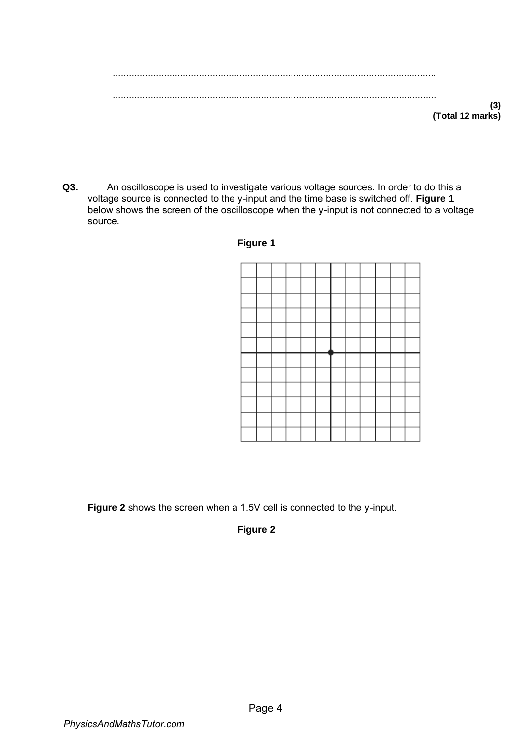........................................................................................................................ ........................................................................................................................ **(Total 12 marks)** 

**(3)** 

**Q3.** An oscilloscope is used to investigate various voltage sources. In order to do this a voltage source is connected to the y-input and the time base is switched off. **Figure 1** below shows the screen of the oscilloscope when the y-input is not connected to a voltage source.

## **Figure 1**



**Figure 2** shows the screen when a 1.5V cell is connected to the y-input.

**Figure 2**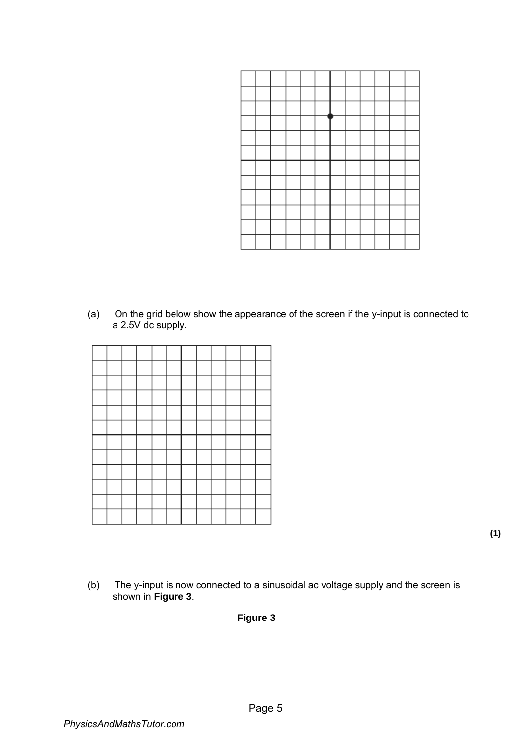(a) On the grid below show the appearance of the screen if the y-input is connected to a 2.5V dc supply.

(b) The y-input is now connected to a sinusoidal ac voltage supply and the screen is shown in **Figure 3**.

## **Figure 3**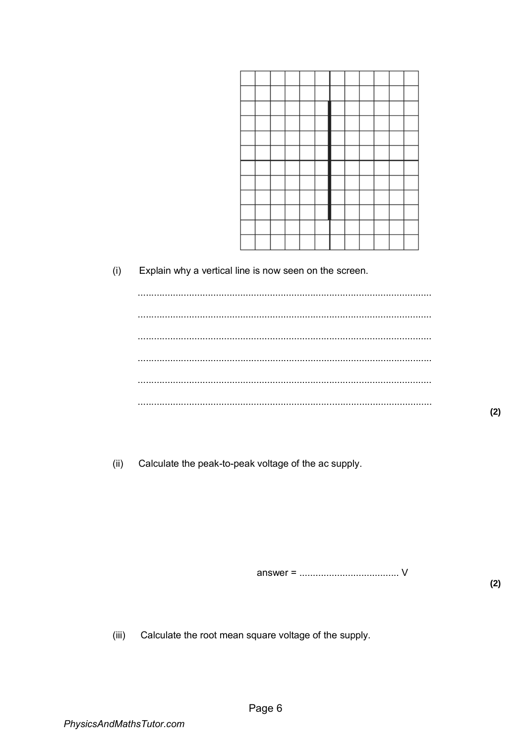$(i)$ Explain why a vertical line is now seen on the screen.

 $(ii)$ Calculate the peak-to-peak voltage of the ac supply.

 $(2)$ 

 $(2)$ 

 $(iii)$ Calculate the root mean square voltage of the supply.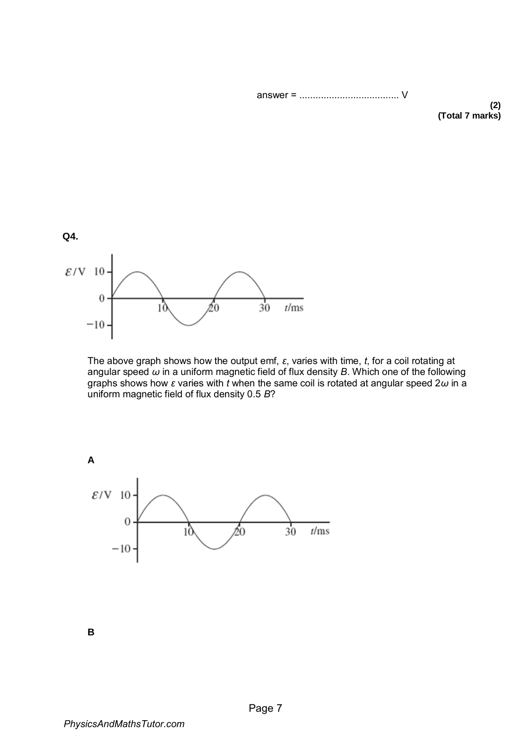## answer = ..................................... V

**(2) (Total 7 marks)** 



The above graph shows how the output emf, *ε*, varies with time, *t*, for a coil rotating at angular speed *ω* in a uniform magnetic field of flux density *B*. Which one of the following graphs shows how *ε* varies with *t* when the same coil is rotated at angular speed 2*ω* in a uniform magnetic field of flux density 0.5 *B*?



**B**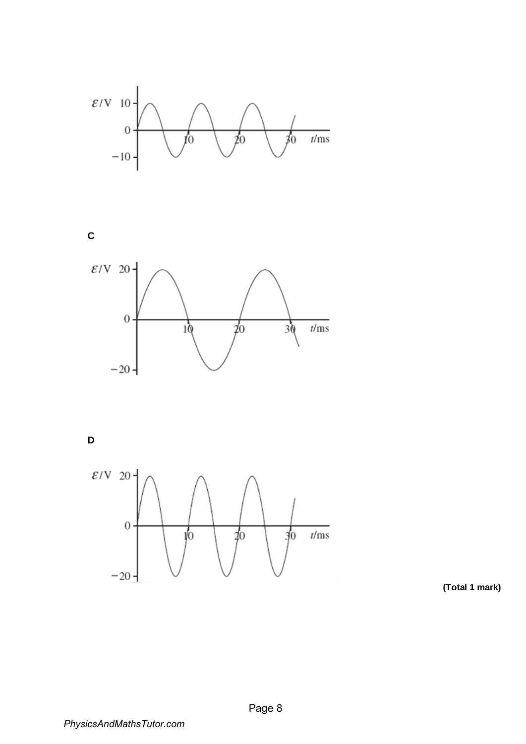

**C**



**D**



**(Total 1 mark)**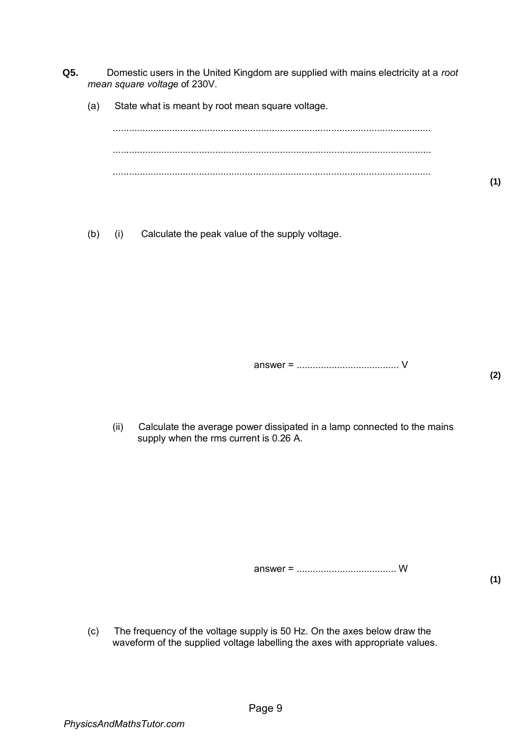**Q5.** Domestic users in the United Kingdom are supplied with mains electricity at a *root mean square voltage* of 230V.

(a) State what is meant by root mean square voltage.

...................................................................................................................... ...................................................................................................................... ......................................................................................................................

(b) (i) Calculate the peak value of the supply voltage.

answer = ...................................... V

(ii) Calculate the average power dissipated in a lamp connected to the mains supply when the rms current is 0.26 A.

answer = ..................................... W

**(1)** 

(c) The frequency of the voltage supply is 50 Hz. On the axes below draw the waveform of the supplied voltage labelling the axes with appropriate values. **(2)** 

**(1)**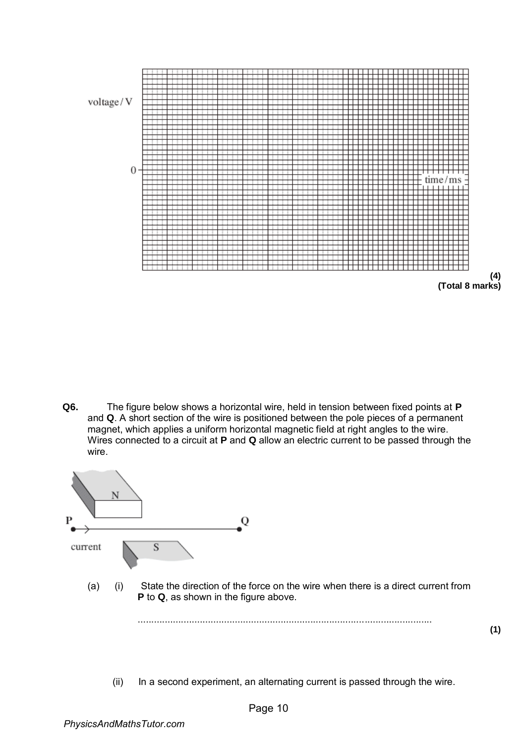

**Q6.** The figure below shows a horizontal wire, held in tension between fixed points at **P**  and **Q**. A short section of the wire is positioned between the pole pieces of a permanent magnet, which applies a uniform horizontal magnetic field at right angles to the wire. Wires connected to a circuit at **P** and **Q** allow an electric current to be passed through the wire.

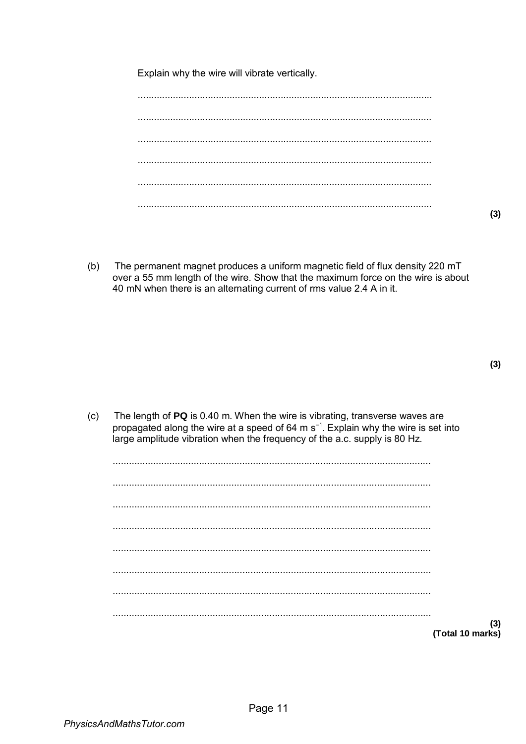Explain why the wire will vibrate vertically.

|   | <br>. |
|---|-------|
|   |       |
|   | .     |
|   | .     |
|   |       |
| . |       |

 $(b)$ The permanent magnet produces a uniform magnetic field of flux density 220 mT over a 55 mm length of the wire. Show that the maximum force on the wire is about 40 mN when there is an alternating current of rms value 2.4 A in it.

 $(3)$ 

 $(c)$ The length of PQ is 0.40 m. When the wire is vibrating, transverse waves are propagated along the wire at a speed of 64 m  $s^{-1}$ . Explain why the wire is set into large amplitude vibration when the frequency of the a.c. supply is 80 Hz.

| (3)              |
|------------------|
| (Total 10 marks) |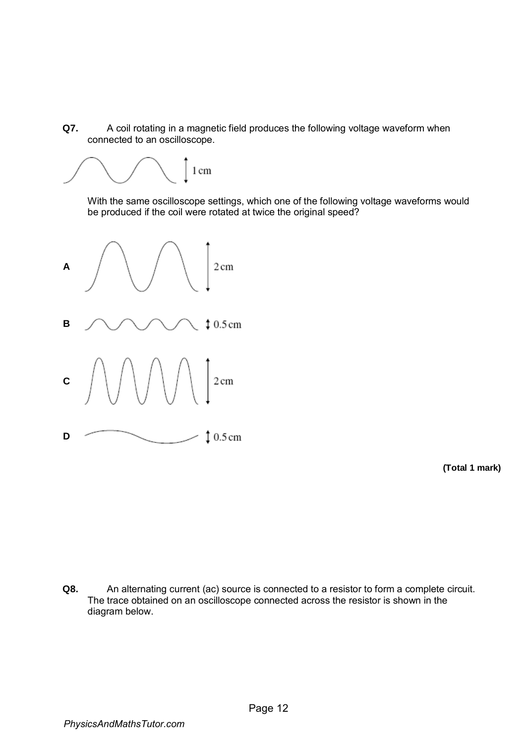**Q7.** A coil rotating in a magnetic field produces the following voltage waveform when connected to an oscilloscope.

With the same oscilloscope settings, which one of the following voltage waveforms would be produced if the coil were rotated at twice the original speed?



**(Total 1 mark)** 

**Q8.** An alternating current (ac) source is connected to a resistor to form a complete circuit. The trace obtained on an oscilloscope connected across the resistor is shown in the diagram below.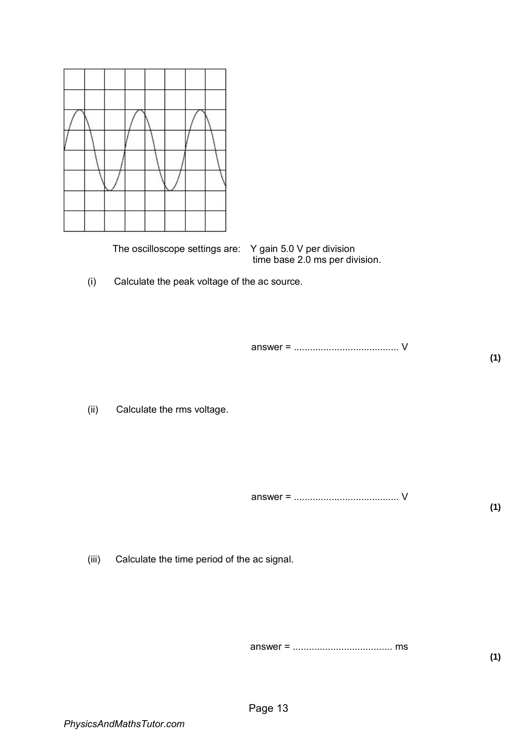The oscilloscope settings are: Y gain 5.0 V per division

time base 2.0 ms per division.

(i) Calculate the peak voltage of the ac source.

answer = ....................................... V

(ii) Calculate the rms voltage.

answer = ....................................... V

(iii) Calculate the time period of the ac signal.

answer = ..................................... ms

**(1)** 

**(1)**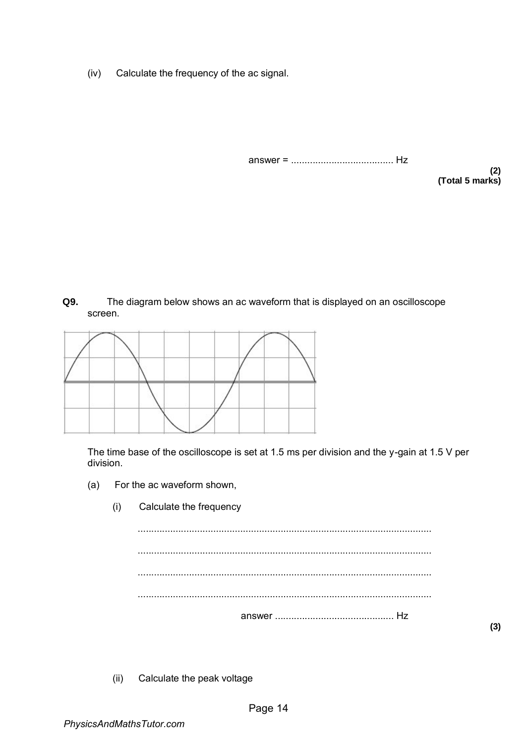(iv) Calculate the frequency of the ac signal.

answer = ...................................... Hz

**(2) (Total 5 marks)** 

**Q9.** The diagram below shows an ac waveform that is displayed on an oscilloscope screen.

The time base of the oscilloscope is set at 1.5 ms per division and the y-gain at 1.5 V per division.

- (a) For the ac waveform shown,
	- (i) Calculate the frequency

............................................................................................................. ............................................................................................................. ............................................................................................................. ............................................................................................................. answer ............................................ Hz

**(3)** 

(ii) Calculate the peak voltage